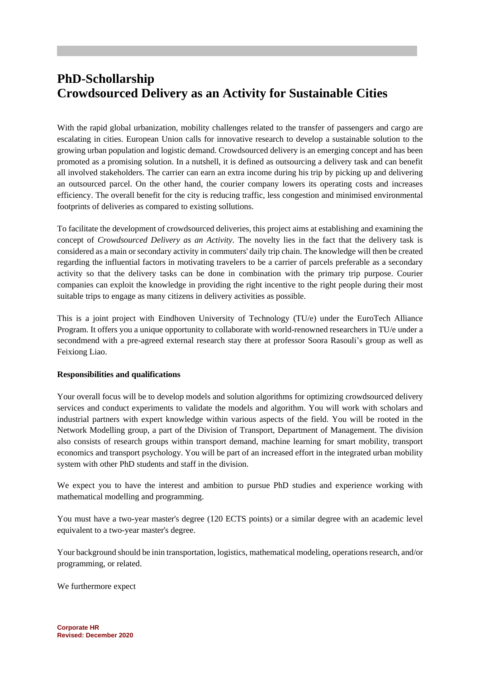# **PhD-Schollarship Crowdsourced Delivery as an Activity for Sustainable Cities**

With the rapid global urbanization, mobility challenges related to the transfer of passengers and cargo are escalating in cities. European Union calls for innovative research to develop a sustainable solution to the growing urban population and logistic demand. Crowdsourced delivery is an emerging concept and has been promoted as a promising solution. In a nutshell, it is defined as outsourcing a delivery task and can benefit all involved stakeholders. The carrier can earn an extra income during his trip by picking up and delivering an outsourced parcel. On the other hand, the courier company lowers its operating costs and increases efficiency. The overall benefit for the city is reducing traffic, less congestion and minimised environmental footprints of deliveries as compared to existing sollutions.

To facilitate the development of crowdsourced deliveries, this project aims at establishing and examining the concept of *Crowdsourced Delivery as an Activity*. The novelty lies in the fact that the delivery task is considered as a main or secondary activity in commuters' daily trip chain. The knowledge will then be created regarding the influential factors in motivating travelers to be a carrier of parcels preferable as a secondary activity so that the delivery tasks can be done in combination with the primary trip purpose. Courier companies can exploit the knowledge in providing the right incentive to the right people during their most suitable trips to engage as many citizens in delivery activities as possible.

This is a joint project with Eindhoven University of Technology (TU/e) under the EuroTech Alliance Program. It offers you a unique opportunity to collaborate with world-renowned researchers in TU/e under a secondmend with a pre-agreed external research stay there at professor Soora Rasouli's group as well as Feixiong Liao.

#### **Responsibilities and qualifications**

Your overall focus will be to develop models and solution algorithms for optimizing crowdsourced delivery services and conduct experiments to validate the models and algorithm. You will work with scholars and industrial partners with expert knowledge within various aspects of the field. You will be rooted in the Network Modelling group, a part of the Division of Transport, Department of Management. The division also consists of research groups within transport demand, machine learning for smart mobility, transport economics and transport psychology. You will be part of an increased effort in the integrated urban mobility system with other PhD students and staff in the division.

We expect you to have the interest and ambition to pursue PhD studies and experience working with mathematical modelling and programming.

You must have a two-year master's degree (120 ECTS points) or a similar degree with an academic level equivalent to a two-year master's degree.

Your background should be inin transportation, logistics, mathematical modeling, operations research, and/or programming, or related.

We furthermore expect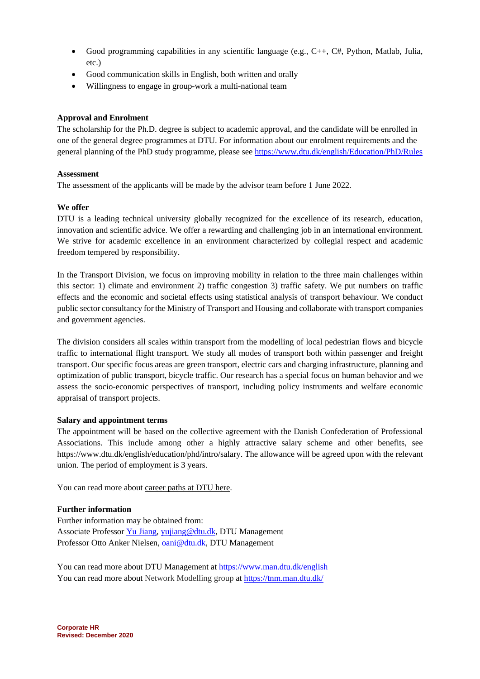- Good programming capabilities in any scientific language (e.g.,  $C_{++}$ ,  $C_{+}$ , Python, Matlab, Julia, etc.)
- Good communication skills in English, both written and orally
- Willingness to engage in group-work a multi-national team

## **Approval and Enrolment**

The scholarship for the Ph.D. degree is subject to academic approval, and the candidate will be enrolled in one of the general degree programmes at DTU. For information about our enrolment requirements and the general planning of the PhD study programme, please see<https://www.dtu.dk/english/Education/PhD/Rules>

#### **Assessment**

The assessment of the applicants will be made by the advisor team before 1 June 2022.

#### **We offer**

DTU is a leading technical university globally recognized for the excellence of its research, education, innovation and scientific advice. We offer a rewarding and challenging job in an international environment. We strive for academic excellence in an environment characterized by collegial respect and academic freedom tempered by responsibility.

In the Transport Division, we focus on improving mobility in relation to the three main challenges within this sector: 1) climate and environment 2) traffic congestion 3) traffic safety. We put numbers on traffic effects and the economic and societal effects using statistical analysis of transport behaviour. We conduct public sector consultancy for the Ministry of Transport and Housing and collaborate with transport companies and government agencies.

The division considers all scales within transport from the modelling of local pedestrian flows and bicycle traffic to international flight transport. We study all modes of transport both within passenger and freight transport. Our specific focus areas are green transport, electric cars and charging infrastructure, planning and optimization of public transport, bicycle traffic. Our research has a special focus on human behavior and we assess the socio-economic perspectives of transport, including policy instruments and welfare economic appraisal of transport projects.

#### **Salary and appointment terms**

The appointment will be based on the collective agreement with the Danish Confederation of Professional Associations. This include among other a highly attractive salary scheme and other benefits, see https://www.dtu.dk/english/education/phd/intro/salary. The allowance will be agreed upon with the relevant union. The period of employment is 3 years.

You can read more abou[t career paths at DTU here.](http://www.dtu.dk/english/about/job-and-career/working-at-dtu/career-paths)

#### **Further information**

Further information may be obtained from: Associate Professor Yu [Jiang,](https://www.drjiangyu.com/) [yujiang@dtu.dk,](mailto:yujiang@dtu.dk) DTU Management Professor Otto Anker Nielsen[, oani@dtu.dk,](mailto:oani@dtu.dk) DTU Management

You can read more about DTU Management a[t https://www.man.dtu.dk/english](https://www.man.dtu.dk/english) You can read more about Network Modelling group a[t https://tnm.man.dtu.dk/](https://tnm.man.dtu.dk/)